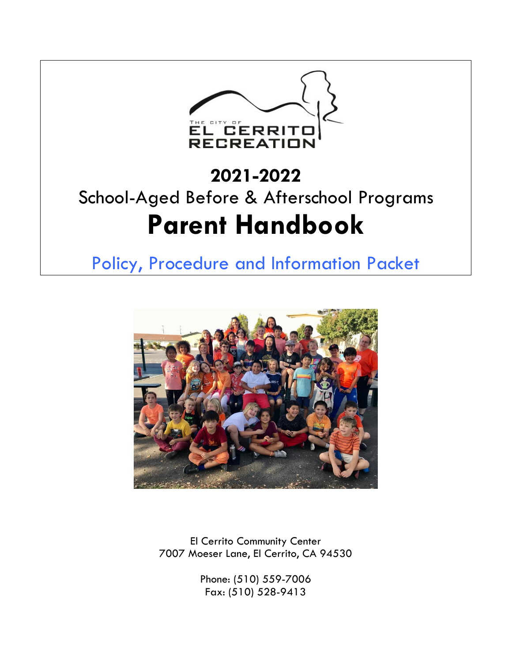

# **2021-2022** School-Aged Before & Afterschool Programs **Parent Handbook**

Policy, Procedure and Information Packet



El Cerrito Community Center 7007 Moeser Lane, El Cerrito, CA 94530

> Phone: (510) 559-7006 Fax: (510) 528-9413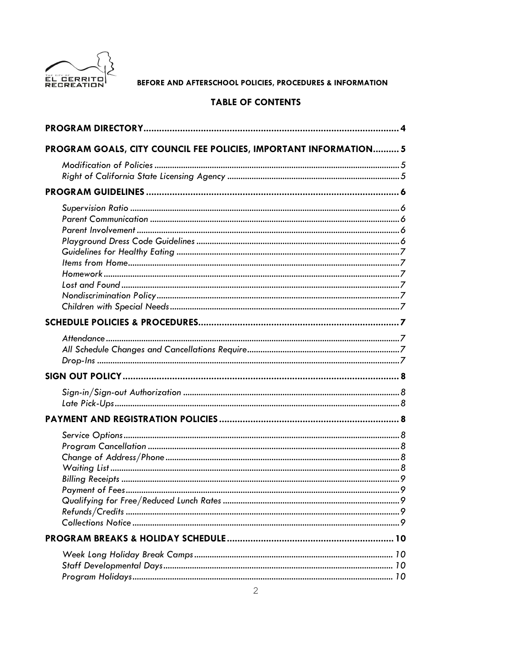

# TABLE OF CONTENTS

| PROGRAM GOALS, CITY COUNCIL FEE POLICIES, IMPORTANT INFORMATION 5 |
|-------------------------------------------------------------------|
|                                                                   |
|                                                                   |
|                                                                   |
|                                                                   |
|                                                                   |
|                                                                   |
|                                                                   |
|                                                                   |
|                                                                   |
|                                                                   |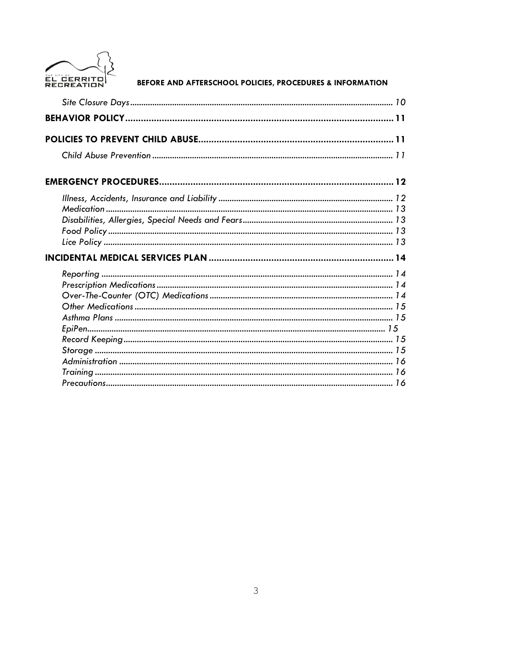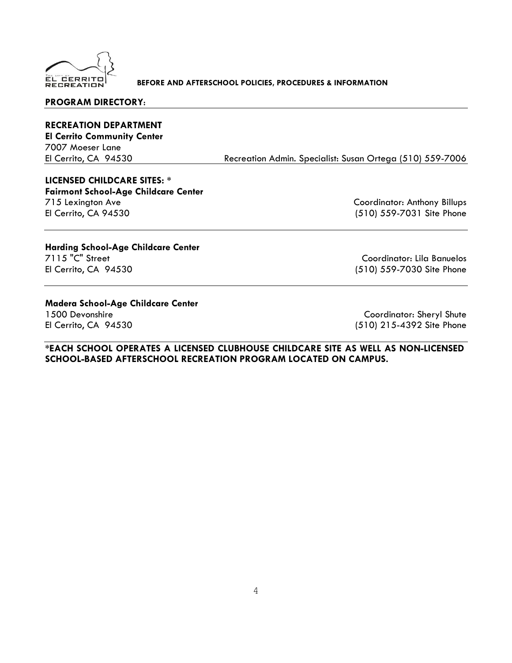

#### **PROGRAM DIRECTORY**:

**RECREATION DEPARTMENT El Cerrito Community Center** 7007 Moeser Lane

El Cerrito, CA 94530 Recreation Admin. Specialist: Susan Ortega (510) 559-7006

# **LICENSED CHILDCARE SITES: \***

**Fairmont School-Age Childcare Center** 715 Lexington Ave Coordinator: Anthony Billups El Cerrito, CA 94530 (510) 559-7031 Site Phone

# **Harding School-Age Childcare Center**

Coordinator: Lila Banuelos El Cerrito, CA 94530 (510) 559-7030 Site Phone

# **Madera School-Age Childcare Center**

1500 Devonshire Coordinator: Sheryl Shute El Cerrito, CA 94530 (510) 215-4392 Site Phone

**\*EACH SCHOOL OPERATES A LICENSED CLUBHOUSE CHILDCARE SITE AS WELL AS NON-LICENSED SCHOOL-BASED AFTERSCHOOL RECREATION PROGRAM LOCATED ON CAMPUS.**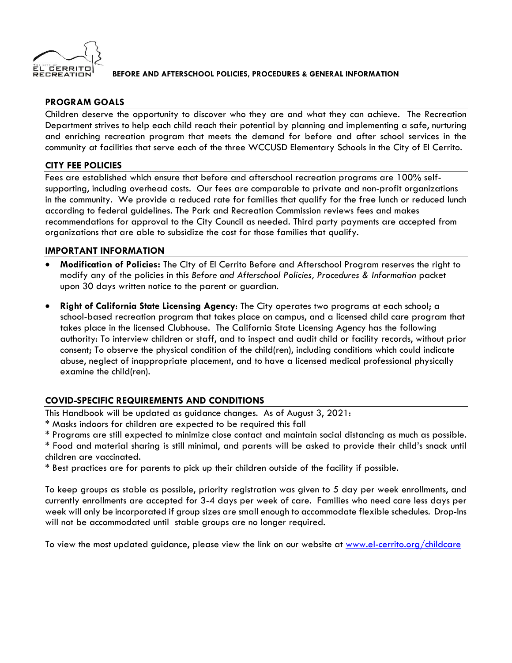

# **PROGRAM GOALS**

Children deserve the opportunity to discover who they are and what they can achieve. The Recreation Department strives to help each child reach their potential by planning and implementing a safe, nurturing and enriching recreation program that meets the demand for before and after school services in the community at facilities that serve each of the three WCCUSD Elementary Schools in the City of El Cerrito.

# **CITY FEE POLICIES**

Fees are established which ensure that before and afterschool recreation programs are 100% selfsupporting, including overhead costs. Our fees are comparable to private and non-profit organizations in the community. We provide a reduced rate for families that qualify for the free lunch or reduced lunch according to federal guidelines. The Park and Recreation Commission reviews fees and makes recommendations for approval to the City Council as needed. Third party payments are accepted from organizations that are able to subsidize the cost for those families that qualify.

# **IMPORTANT INFORMATION**

- **Modification of Policies:** The City of El Cerrito Before and Afterschool Program reserves the right to modify any of the policies in this *Before and Afterschool Policies, Procedures & Information* packet upon 30 days written notice to the parent or guardian.
- **Right of California State Licensing Agency**: The City operates two programs at each school; a school-based recreation program that takes place on campus, and a licensed child care program that takes place in the licensed Clubhouse. The California State Licensing Agency has the following authority: To interview children or staff, and to inspect and audit child or facility records, without prior consent; To observe the physical condition of the child(ren), including conditions which could indicate abuse, neglect of inappropriate placement, and to have a licensed medical professional physically examine the child(ren).

# **COVID-SPECIFIC REQUIREMENTS AND CONDITIONS**

This Handbook will be updated as guidance changes. As of August 3, 2021:

- \* Masks indoors for children are expected to be required this fall
- \* Programs are still expected to minimize close contact and maintain social distancing as much as possible.

\* Food and material sharing is still minimal, and parents will be asked to provide their child's snack until children are vaccinated.

\* Best practices are for parents to pick up their children outside of the facility if possible.

To keep groups as stable as possible, priority registration was given to 5 day per week enrollments, and currently enrollments are accepted for 3-4 days per week of care. Families who need care less days per week will only be incorporated if group sizes are small enough to accommodate flexible schedules. Drop-Ins will not be accommodated until stable groups are no longer required.

To view the most updated guidance, please view the link on our website at [www.el-cerrito.org/childcare](http://www.el-cerrito.org/childcare)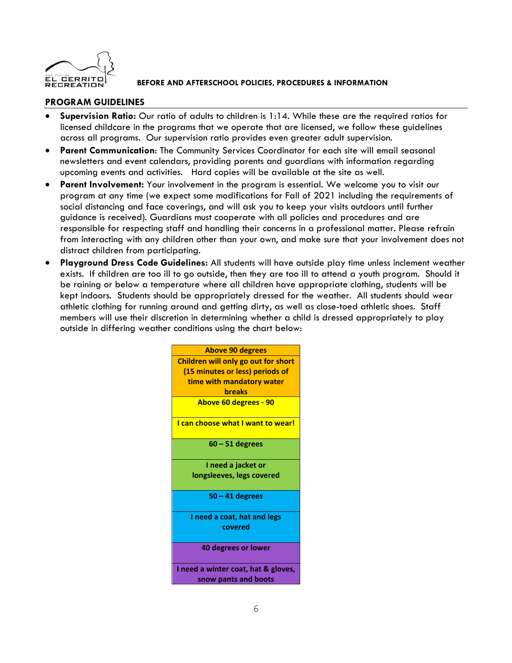

# **PROGRAM GUIDELINES**

- **Supervision Ratio:** Our ratio of adults to children is 1:14. While these are the required ratios for licensed childcare in the programs that we operate that are licensed, we follow these guidelines across all programs. Our supervision ratio provides even greater adult supervision.
- **Parent Communication**: The Community Services Coordinator for each site will email seasonal newsletters and event calendars, providing parents and guardians with information regarding upcoming events and activities. Hard copies will be available at the site as well.
- **Parent Involvement:** Your involvement in the program is essential. We welcome you to visit our program at any time (we expect some modifications for Fall of 2021 including the requirements of social distancing and face coverings, and will ask you to keep your visits outdoors until further guidance is received). Guardians must cooperate with all policies and procedures and are responsible for respecting staff and handling their concerns in a professional matter. Please refrain from interacting with any children other than your own, and make sure that your involvement does not distract children from participating.
- **Playground Dress Code Guidelines:** All students will have outside play time unless inclement weather exists. If children are too ill to go outside, then they are too ill to attend a youth program. Should it be raining or below a temperature where all children have appropriate clothing, students will be kept indoors. Students should be appropriately dressed for the weather. All students should wear athletic clothing for running around and getting dirty, as well as close-toed athletic shoes. Staff members will use their discretion in determining whether a child is dressed appropriately to play outside in differing weather conditions using the chart below:

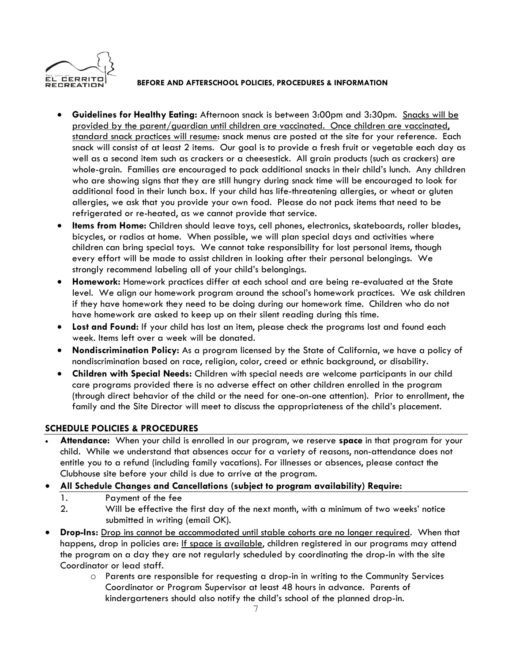

- **Guidelines for Healthy Eating:** Afternoon snack is between 3:00pm and 3:30pm. Snacks will be provided by the parent/guardian until children are vaccinated. Once children are vaccinated, standard snack practices will resume: snack menus are posted at the site for your reference. Each snack will consist of at least 2 items. Our goal is to provide a fresh fruit or vegetable each day as well as a second item such as crackers or a cheesestick. All grain products (such as crackers) are whole-grain. Families are encouraged to pack additional snacks in their child's lunch. Any children who are showing signs that they are still hungry during snack time will be encouraged to look for additional food in their lunch box. If your child has life-threatening allergies, or wheat or gluten allergies, we ask that you provide your own food. Please do not pack items that need to be refrigerated or re-heated, as we cannot provide that service.
- **Items from Home:** Children should leave toys, cell phones, electronics, skateboards, roller blades, bicycles, or radios at home. When possible, we will plan special days and activities where children can bring special toys. We cannot take responsibility for lost personal items, though every effort will be made to assist children in looking after their personal belongings. We strongly recommend labeling all of your child's belongings.
- **Homework:** Homework practices differ at each school and are being re-evaluated at the State level. We align our homework program around the school's homework practices. We ask children if they have homework they need to be doing during our homework time.Children who do not have homework are asked to keep up on their silent reading during this time.
- **Lost and Found:** If your child has lost an item, please check the programs lost and found each week. Items left over a week will be donated.
- **Nondiscrimination Policy:** As a program licensed by the State of California, we have a policy of nondiscrimination based on race, religion, color, creed or ethnic background, or disability.
- **Children with Special Needs:** Children with special needs are welcome participants in our child care programs provided there is no adverse effect on other children enrolled in the program (through direct behavior of the child or the need for one-on-one attention). Prior to enrollment, the family and the Site Director will meet to discuss the appropriateness of the child's placement.

# **SCHEDULE POLICIES & PROCEDURES**

- **Attendance:** When your child is enrolled in our program, we reserve **space** in that program for your child. While we understand that absences occur for a variety of reasons, non-attendance does not entitle you to a refund (including family vacations). For illnesses or absences, please contact the Clubhouse site before your child is due to arrive at the program.
- **All Schedule Changes and Cancellations (subject to program availability) Require:**
	- 1. Payment of the fee
	- 2. Will be effective the first day of the next month, with a minimum of two weeks' notice submitted in writing (email OK).
- **Drop-Ins:** Drop ins cannot be accommodated until stable cohorts are no longer required. When that happens, drop in policies are: If space is available, children registered in our programs may attend the program on a day they are not regularly scheduled by coordinating the drop-in with the site Coordinator or lead staff.
	- o Parents are responsible for requesting a drop-in in writing to the Community Services Coordinator or Program Supervisor at least 48 hours in advance. Parents of kindergarteners should also notify the child's school of the planned drop-in.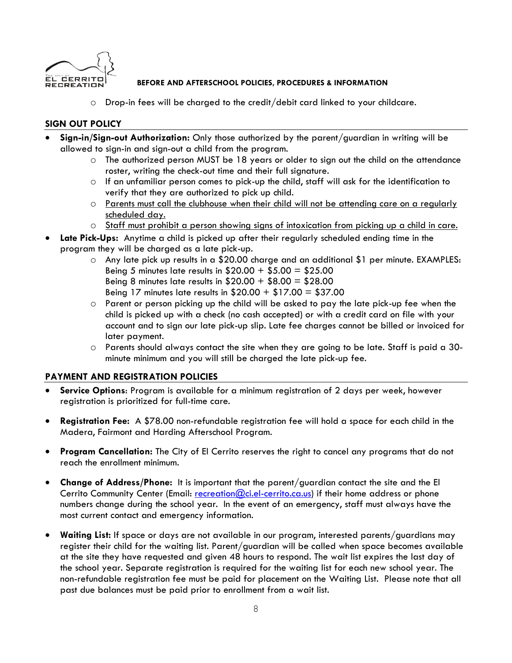

o Drop-in fees will be charged to the credit/debit card linked to your childcare.

# **SIGN OUT POLICY**

- **Sign-in/Sign-out Authorization:** Only those authorized by the parent/guardian in writing will be allowed to sign-in and sign-out a child from the program.
	- o The authorized person MUST be 18 years or older to sign out the child on the attendance roster, writing the check-out time and their full signature.
	- $\circ$  If an unfamiliar person comes to pick-up the child, staff will ask for the identification to verify that they are authorized to pick up child.
	- o Parents must call the clubhouse when their child will not be attending care on a regularly scheduled day.
	- o Staff must prohibit a person showing signs of intoxication from picking up a child in care.
- **Late Pick-Ups:** Anytime a child is picked up after their regularly scheduled ending time in the program they will be charged as a late pick-up.
	- o Any late pick up results in a \$20.00 charge and an additional \$1 per minute. EXAMPLES: Being 5 minutes late results in  $$20.00 + $5.00 = $25.00$ Being 8 minutes late results in  $$20.00 + $8.00 = $28.00$ Being 17 minutes late results in  $$20.00 + $17.00 = $37.00$
	- o Parent or person picking up the child will be asked to pay the late pick-up fee when the child is picked up with a check (no cash accepted) or with a credit card on file with your account and to sign our late pick-up slip. Late fee charges cannot be billed or invoiced for later payment.
	- o Parents should always contact the site when they are going to be late. Staff is paid a 30 minute minimum and you will still be charged the late pick-up fee.

# **PAYMENT AND REGISTRATION POLICIES**

- **Service Options**: Program is available for a minimum registration of 2 days per week, however registration is prioritized for full-time care.
- **Registration Fee:** A \$78.00 non-refundable registration fee will hold a space for each child in the Madera, Fairmont and Harding Afterschool Program.
- **Program Cancellation:** The City of El Cerrito reserves the right to cancel any programs that do not reach the enrollment minimum.
- **Change of Address/Phone:** It is important that the parent/guardian contact the site and the El Cerrito Community Center (Email: [recreation@ci.el-cerrito.ca.us\)](mailto:recreation@ci.el-cerrito.ca.us) if their home address or phone numbers change during the school year. In the event of an emergency, staff must always have the most current contact and emergency information.
- **Waiting List:** If space or days are not available in our program, interested parents/guardians may register their child for the waiting list. Parent/guardian will be called when space becomes available at the site they have requested and given 48 hours to respond. The wait list expires the last day of the school year. Separate registration is required for the waiting list for each new school year. The non-refundable registration fee must be paid for placement on the Waiting List. Please note that all past due balances must be paid prior to enrollment from a wait list.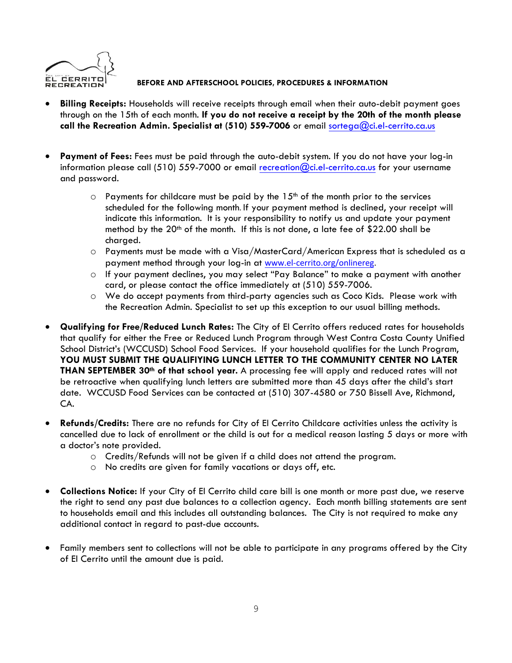

- **Billing Receipts:** Households will receive receipts through email when their auto-debit payment goes through on the 15th of each month. **If you do not receive a receipt by the 20th of the month please call the Recreation Admin. Specialist at (510) 559-7006** or email [sortega@ci.el-cerrito.ca.us](mailto:sortega@ci.el-cerrito.ca.us)
- **Payment of Fees:** Fees must be paid through the auto-debit system. If you do not have your log-in information please call (510) 559-7000 or email [recreation@ci.el-cerrito.ca.us](mailto:recreation@ci.el-cerrito.ca.us) for your username and password.
	- $\circ$  Payments for childcare must be paid by the  $15^{th}$  of the month prior to the services scheduled for the following month. If your payment method is declined, your receipt will indicate this information. It is your responsibility to notify us and update your payment method by the  $20<sup>th</sup>$  of the month. If this is not done, a late fee of \$22.00 shall be charged.
	- o Payments must be made with a Visa/MasterCard/American Express that is scheduled as a payment method through your log-in at [www.el-cerrito.org/onlinereg.](http://www.el-cerrito.org/onlinereg)
	- o If your payment declines, you may select "Pay Balance" to make a payment with another card, or please contact the office immediately at (510) 559-7006.
	- o We do accept payments from third-party agencies such as Coco Kids. Please work with the Recreation Admin. Specialist to set up this exception to our usual billing methods.
- **Qualifying for Free/Reduced Lunch Rates:** The City of El Cerrito offers reduced rates for households that qualify for either the Free or Reduced Lunch Program through West Contra Costa County Unified School District's (WCCUSD) School Food Services. If your household qualifies for the Lunch Program, **YOU MUST SUBMIT THE QUALIFIYING LUNCH LETTER TO THE COMMUNITY CENTER NO LATER THAN SEPTEMBER 30th of that school year.** A processing fee will apply and reduced rates will not be retroactive when qualifying lunch letters are submitted more than 45 days after the child's start date. WCCUSD Food Services can be contacted at (510) 307-4580 or 750 Bissell Ave, Richmond, CA.
- **Refunds/Credits:** There are no refunds for City of El Cerrito Childcare activities unless the activity is cancelled due to lack of enrollment or the child is out for a medical reason lasting 5 days or more with a doctor's note provided.
	- o Credits/Refunds will not be given if a child does not attend the program.
	- o No credits are given for family vacations or days off, etc.
- **Collections Notice:** If your City of El Cerrito child care bill is one month or more past due, we reserve the right to send any past due balances to a collection agency. Each month billing statements are sent to households email and this includes all outstanding balances. The City is not required to make any additional contact in regard to past-due accounts.
- Family members sent to collections will not be able to participate in any programs offered by the City of El Cerrito until the amount due is paid.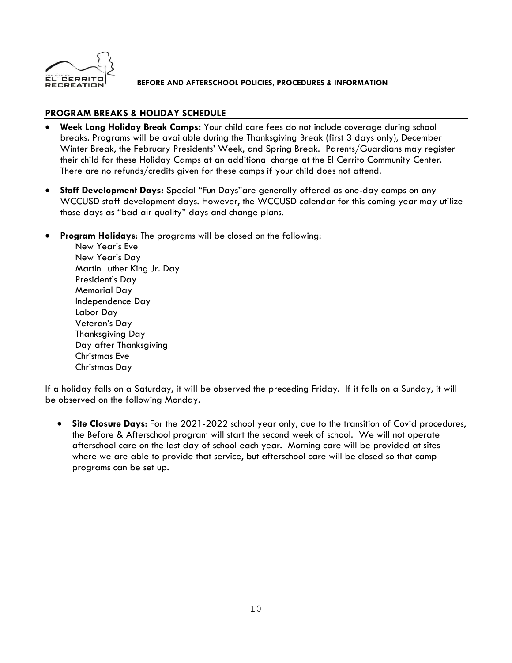

# **PROGRAM BREAKS & HOLIDAY SCHEDULE**

- **Week Long Holiday Break Camps:** Your child care fees do not include coverage during school breaks. Programs will be available during the Thanksgiving Break (first 3 days only), December Winter Break, the February Presidents' Week, and Spring Break. Parents/Guardians may register their child for these Holiday Camps at an additional charge at the El Cerrito Community Center. There are no refunds/credits given for these camps if your child does not attend.
- **Staff Development Days:** Special "Fun Days"are generally offered as one-day camps on any WCCUSD staff development days. However, the WCCUSD calendar for this coming year may utilize those days as "bad air quality" days and change plans.
- **Program Holidays**: The programs will be closed on the following:

New Year's Eve New Year's Day Martin Luther King Jr. Day President's Day Memorial Day Independence Day Labor Day Veteran's Day Thanksgiving Day Day after Thanksgiving Christmas Eve Christmas Day

If a holiday falls on a Saturday, it will be observed the preceding Friday. If it falls on a Sunday, it will be observed on the following Monday.

• **Site Closure Days**: For the 2021-2022 school year only, due to the transition of Covid procedures, the Before & Afterschool program will start the second week of school. We will not operate afterschool care on the last day of school each year. Morning care will be provided at sites where we are able to provide that service, but afterschool care will be closed so that camp programs can be set up.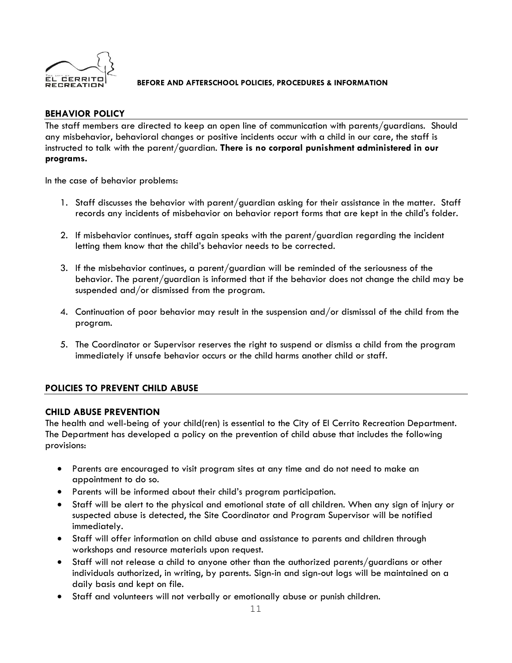

# **BEHAVIOR POLICY**

The staff members are directed to keep an open line of communication with parents/guardians. Should any misbehavior, behavioral changes or positive incidents occur with a child in our care, the staff is instructed to talk with the parent/guardian. **There is no corporal punishment administered in our programs.**

In the case of behavior problems:

- 1. Staff discusses the behavior with parent/guardian asking for their assistance in the matter. Staff records any incidents of misbehavior on behavior report forms that are kept in the child's folder.
- 2. If misbehavior continues, staff again speaks with the parent/guardian regarding the incident letting them know that the child's behavior needs to be corrected.
- 3. If the misbehavior continues, a parent/guardian will be reminded of the seriousness of the behavior. The parent/guardian is informed that if the behavior does not change the child may be suspended and/or dismissed from the program.
- 4. Continuation of poor behavior may result in the suspension and/or dismissal of the child from the program.
- 5. The Coordinator or Supervisor reserves the right to suspend or dismiss a child from the program immediately if unsafe behavior occurs or the child harms another child or staff.

# **POLICIES TO PREVENT CHILD ABUSE**

# **CHILD ABUSE PREVENTION**

The health and well-being of your child(ren) is essential to the City of El Cerrito Recreation Department. The Department has developed a policy on the prevention of child abuse that includes the following provisions:

- Parents are encouraged to visit program sites at any time and do not need to make an appointment to do so.
- Parents will be informed about their child's program participation.
- Staff will be alert to the physical and emotional state of all children. When any sign of injury or suspected abuse is detected, the Site Coordinator and Program Supervisor will be notified immediately.
- Staff will offer information on child abuse and assistance to parents and children through workshops and resource materials upon request.
- Staff will not release a child to anyone other than the authorized parents/guardians or other individuals authorized, in writing, by parents. Sign-in and sign-out logs will be maintained on a daily basis and kept on file.
- Staff and volunteers will not verbally or emotionally abuse or punish children.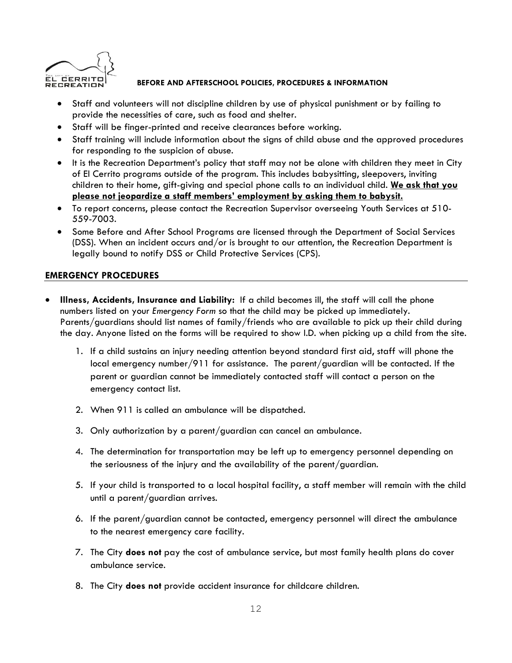

- Staff and volunteers will not discipline children by use of physical punishment or by failing to provide the necessities of care, such as food and shelter.
- Staff will be finger-printed and receive clearances before working.
- Staff training will include information about the signs of child abuse and the approved procedures for responding to the suspicion of abuse.
- It is the Recreation Department's policy that staff may not be alone with children they meet in City of El Cerrito programs outside of the program. This includes babysitting, sleepovers, inviting children to their home, gift-giving and special phone calls to an individual child. **We ask that you please not jeopardize a staff members' employment by asking them to babysit.**
- To report concerns, please contact the Recreation Supervisor overseeing Youth Services at 510- 559-7003.
- Some Before and After School Programs are licensed through the Department of Social Services (DSS). When an incident occurs and/or is brought to our attention, the Recreation Department is legally bound to notify DSS or Child Protective Services (CPS).

# **EMERGENCY PROCEDURES**

- **Illness, Accidents, Insurance and Liability:** If a child becomes ill, the staff will call the phone numbers listed on your *Emergency Form* so that the child may be picked up immediately. Parents/guardians should list names of family/friends who are available to pick up their child during the day. Anyone listed on the forms will be required to show I.D. when picking up a child from the site.
	- 1. If a child sustains an injury needing attention beyond standard first aid, staff will phone the local emergency number/911 for assistance. The parent/guardian will be contacted. If the parent or guardian cannot be immediately contacted staff will contact a person on the emergency contact list.
	- 2. When 911 is called an ambulance will be dispatched.
	- 3. Only authorization by a parent/guardian can cancel an ambulance.
	- 4. The determination for transportation may be left up to emergency personnel depending on the seriousness of the injury and the availability of the parent/guardian.
	- 5. If your child is transported to a local hospital facility, a staff member will remain with the child until a parent/guardian arrives.
	- 6. If the parent/guardian cannot be contacted, emergency personnel will direct the ambulance to the nearest emergency care facility.
	- 7. The City **does not** pay the cost of ambulance service, but most family health plans do cover ambulance service.
	- 8. The City **does not** provide accident insurance for childcare children.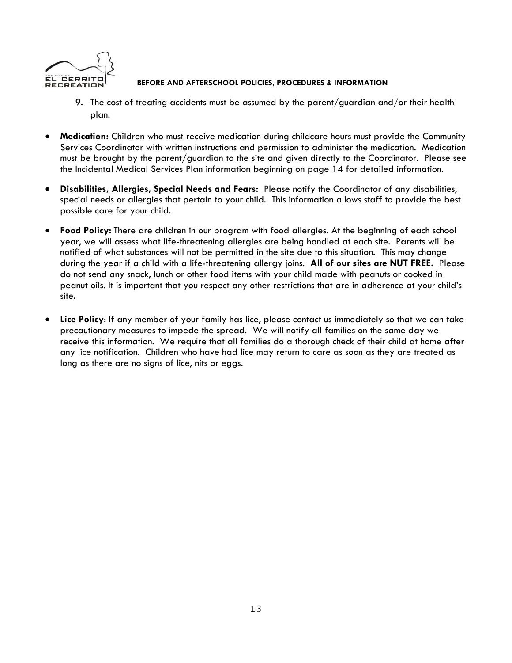

- 9. The cost of treating accidents must be assumed by the parent/guardian and/or their health plan.
- **Medication:** Children who must receive medication during childcare hours must provide the Community Services Coordinator with written instructions and permission to administer the medication. Medication must be brought by the parent/guardian to the site and given directly to the Coordinator. Please see the Incidental Medical Services Plan information beginning on page 14 for detailed information.
- **Disabilities, Allergies, Special Needs and Fears:** Please notify the Coordinator of any disabilities, special needs or allergies that pertain to your child. This information allows staff to provide the best possible care for your child.
- **Food Policy:** There are children in our program with food allergies. At the beginning of each school year, we will assess what life-threatening allergies are being handled at each site. Parents will be notified of what substances will not be permitted in the site due to this situation. This may change during the year if a child with a life-threatening allergy joins. **All of our sites are NUT FREE.** Please do not send any snack, lunch or other food items with your child made with peanuts or cooked in peanut oils. It is important that you respect any other restrictions that are in adherence at your child's site.
- **Lice Policy**: If any member of your family has lice, please contact us immediately so that we can take precautionary measures to impede the spread. We will notify all families on the same day we receive this information. We require that all families do a thorough check of their child at home after any lice notification. Children who have had lice may return to care as soon as they are treated as long as there are no signs of lice, nits or eggs.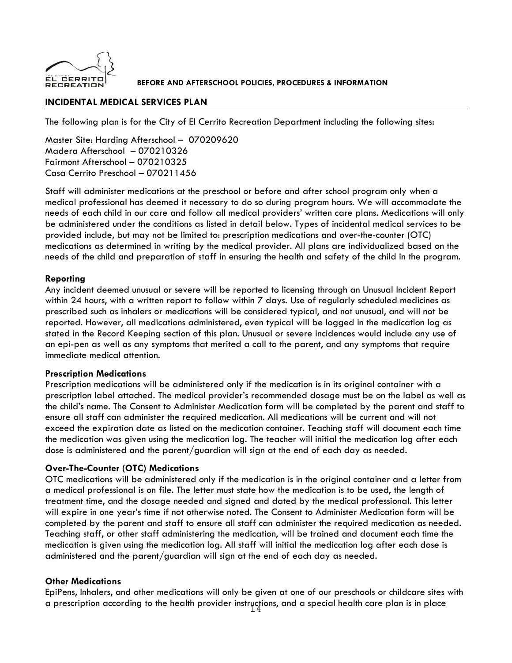

# **INCIDENTAL MEDICAL SERVICES PLAN**

The following plan is for the City of El Cerrito Recreation Department including the following sites:

Master Site: Harding Afterschool – 070209620 Madera Afterschool – 070210326 Fairmont Afterschool – 070210325 Casa Cerrito Preschool – 070211456

Staff will administer medications at the preschool or before and after school program only when a medical professional has deemed it necessary to do so during program hours. We will accommodate the needs of each child in our care and follow all medical providers' written care plans. Medications will only be administered under the conditions as listed in detail below. Types of incidental medical services to be provided include, but may not be limited to: prescription medications and over-the-counter (OTC) medications as determined in writing by the medical provider. All plans are individualized based on the needs of the child and preparation of staff in ensuring the health and safety of the child in the program.

# **Reporting**

Any incident deemed unusual or severe will be reported to licensing through an Unusual Incident Report within 24 hours, with a written report to follow within 7 days. Use of regularly scheduled medicines as prescribed such as inhalers or medications will be considered typical, and not unusual, and will not be reported. However, all medications administered, even typical will be logged in the medication log as stated in the Record Keeping section of this plan. Unusual or severe incidences would include any use of an epi-pen as well as any symptoms that merited a call to the parent, and any symptoms that require immediate medical attention.

#### **Prescription Medications**

Prescription medications will be administered only if the medication is in its original container with a prescription label attached. The medical provider's recommended dosage must be on the label as well as the child's name. The Consent to Administer Medication form will be completed by the parent and staff to ensure all staff can administer the required medication. All medications will be current and will not exceed the expiration date as listed on the medication container. Teaching staff will document each time the medication was given using the medication log. The teacher will initial the medication log after each dose is administered and the parent/guardian will sign at the end of each day as needed.

# **Over-The-Counter (OTC) Medications**

OTC medications will be administered only if the medication is in the original container and a letter from a medical professional is on file. The letter must state how the medication is to be used, the length of treatment time, and the dosage needed and signed and dated by the medical professional. This letter will expire in one year's time if not otherwise noted. The Consent to Administer Medication form will be completed by the parent and staff to ensure all staff can administer the required medication as needed. Teaching staff, or other staff administering the medication, will be trained and document each time the medication is given using the medication log. All staff will initial the medication log after each dose is administered and the parent/guardian will sign at the end of each day as needed.

# **Other Medications**

a prescription according to the health provider instryctions, and a special health care plan is in place EpiPens, Inhalers, and other medications will only be given at one of our preschools or childcare sites with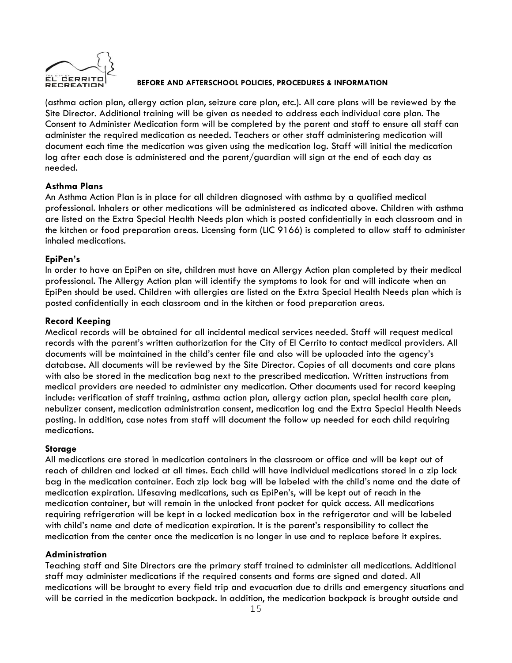

(asthma action plan, allergy action plan, seizure care plan, etc.). All care plans will be reviewed by the Site Director. Additional training will be given as needed to address each individual care plan. The Consent to Administer Medication form will be completed by the parent and staff to ensure all staff can administer the required medication as needed. Teachers or other staff administering medication will document each time the medication was given using the medication log. Staff will initial the medication log after each dose is administered and the parent/guardian will sign at the end of each day as needed.

# **Asthma Plans**

An Asthma Action Plan is in place for all children diagnosed with asthma by a qualified medical professional. Inhalers or other medications will be administered as indicated above. Children with asthma are listed on the Extra Special Health Needs plan which is posted confidentially in each classroom and in the kitchen or food preparation areas. Licensing form (LIC 9166) is completed to allow staff to administer inhaled medications.

# **EpiPen's**

In order to have an EpiPen on site, children must have an Allergy Action plan completed by their medical professional. The Allergy Action plan will identify the symptoms to look for and will indicate when an EpiPen should be used. Children with allergies are listed on the Extra Special Health Needs plan which is posted confidentially in each classroom and in the kitchen or food preparation areas.

# **Record Keeping**

Medical records will be obtained for all incidental medical services needed. Staff will request medical records with the parent's written authorization for the City of El Cerrito to contact medical providers. All documents will be maintained in the child's center file and also will be uploaded into the agency's database. All documents will be reviewed by the Site Director. Copies of all documents and care plans with also be stored in the medication bag next to the prescribed medication. Written instructions from medical providers are needed to administer any medication. Other documents used for record keeping include: verification of staff training, asthma action plan, allergy action plan, special health care plan, nebulizer consent, medication administration consent, medication log and the Extra Special Health Needs posting. In addition, case notes from staff will document the follow up needed for each child requiring medications.

# **Storage**

All medications are stored in medication containers in the classroom or office and will be kept out of reach of children and locked at all times. Each child will have individual medications stored in a zip lock bag in the medication container. Each zip lock bag will be labeled with the child's name and the date of medication expiration. Lifesaving medications, such as EpiPen's, will be kept out of reach in the medication container, but will remain in the unlocked front pocket for quick access. All medications requiring refrigeration will be kept in a locked medication box in the refrigerator and will be labeled with child's name and date of medication expiration. It is the parent's responsibility to collect the medication from the center once the medication is no longer in use and to replace before it expires.

# **Administration**

Teaching staff and Site Directors are the primary staff trained to administer all medications. Additional staff may administer medications if the required consents and forms are signed and dated. All medications will be brought to every field trip and evacuation due to drills and emergency situations and will be carried in the medication backpack. In addition, the medication backpack is brought outside and